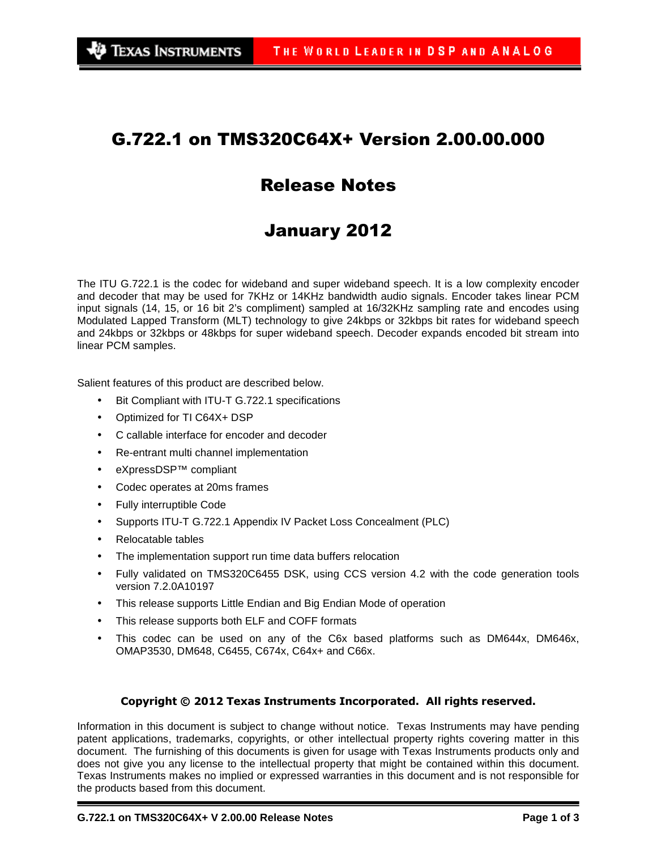## G.722.1 on TMS320C64X+ Version 2.00.00.000

# Release Notes

# January 2012

The ITU G.722.1 is the codec for wideband and super wideband speech. It is a low complexity encoder and decoder that may be used for 7KHz or 14KHz bandwidth audio signals. Encoder takes linear PCM input signals (14, 15, or 16 bit 2's compliment) sampled at 16/32KHz sampling rate and encodes using Modulated Lapped Transform (MLT) technology to give 24kbps or 32kbps bit rates for wideband speech and 24kbps or 32kbps or 48kbps for super wideband speech. Decoder expands encoded bit stream into linear PCM samples.

Salient features of this product are described below.

- Bit Compliant with ITU-T G.722.1 specifications
- Optimized for TI C64X+ DSP
- C callable interface for encoder and decoder
- Re-entrant multi channel implementation
- eXpressDSP™ compliant
- Codec operates at 20ms frames
- Fully interruptible Code
- Supports ITU-T G.722.1 Appendix IV Packet Loss Concealment (PLC)
- Relocatable tables
- The implementation support run time data buffers relocation
- Fully validated on TMS320C6455 DSK, using CCS version 4.2 with the code generation tools version 7.2.0A10197
- This release supports Little Endian and Big Endian Mode of operation
- This release supports both ELF and COFF formats
- This codec can be used on any of the C6x based platforms such as DM644x, DM646x, OMAP3530, DM648, C6455, C674x, C64x+ and C66x.

#### Copyright © 2012 Texas Instruments Incorporated. All rights reserved.

Information in this document is subject to change without notice. Texas Instruments may have pending patent applications, trademarks, copyrights, or other intellectual property rights covering matter in this document. The furnishing of this documents is given for usage with Texas Instruments products only and does not give you any license to the intellectual property that might be contained within this document. Texas Instruments makes no implied or expressed warranties in this document and is not responsible for the products based from this document.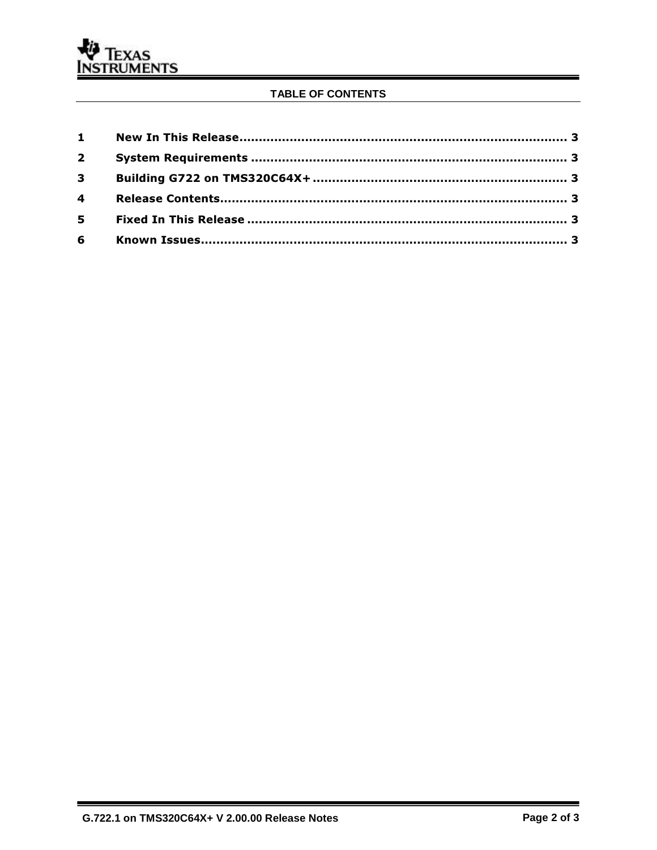### TABLE OF CONTENTS

| $3^{\circ}$ |  |
|-------------|--|
|             |  |
|             |  |
|             |  |